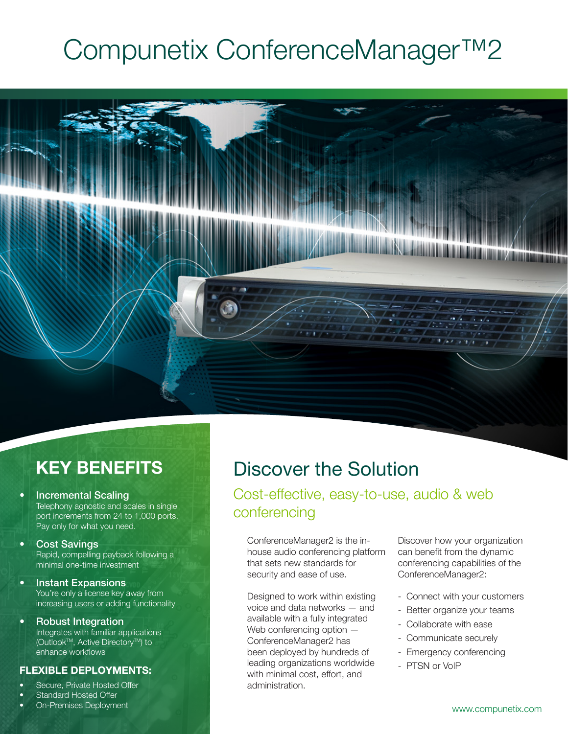# Compunetix ConferenceManager™2



# **KEY BENEFITS**

- Incremental Scaling Telephony agnostic and scales in single port increments from 24 to 1,000 ports. Pay only for what you need.
- **Cost Savings** Rapid, compelling payback following a minimal one-time investment
- Instant Expansions You're only a license key away from increasing users or adding functionality
- Robust Integration Integrates with familiar applications (Outlook™, Active Directory™) to enhance workflows

# **FLEXIBLE DEPLOYMENTS:**

- Secure, Private Hosted Offer
- Standard Hosted Offer
- On-Premises Deployment

# Discover the Solution

Cost-effective, easy-to-use, audio & web conferencing

ConferenceManager2 is the inhouse audio conferencing platform that sets new standards for security and ease of use.

Designed to work within existing voice and data networks — and available with a fully integrated Web conferencing option  $-$ ConferenceManager2 has been deployed by hundreds of leading organizations worldwide with minimal cost, effort, and administration.

Discover how your organization can benefit from the dynamic conferencing capabilities of the ConferenceManager2:

- Connect with your customers
- Better organize your teams
- Collaborate with ease
- Communicate securely
- Emergency conferencing
- PTSN or VoIP